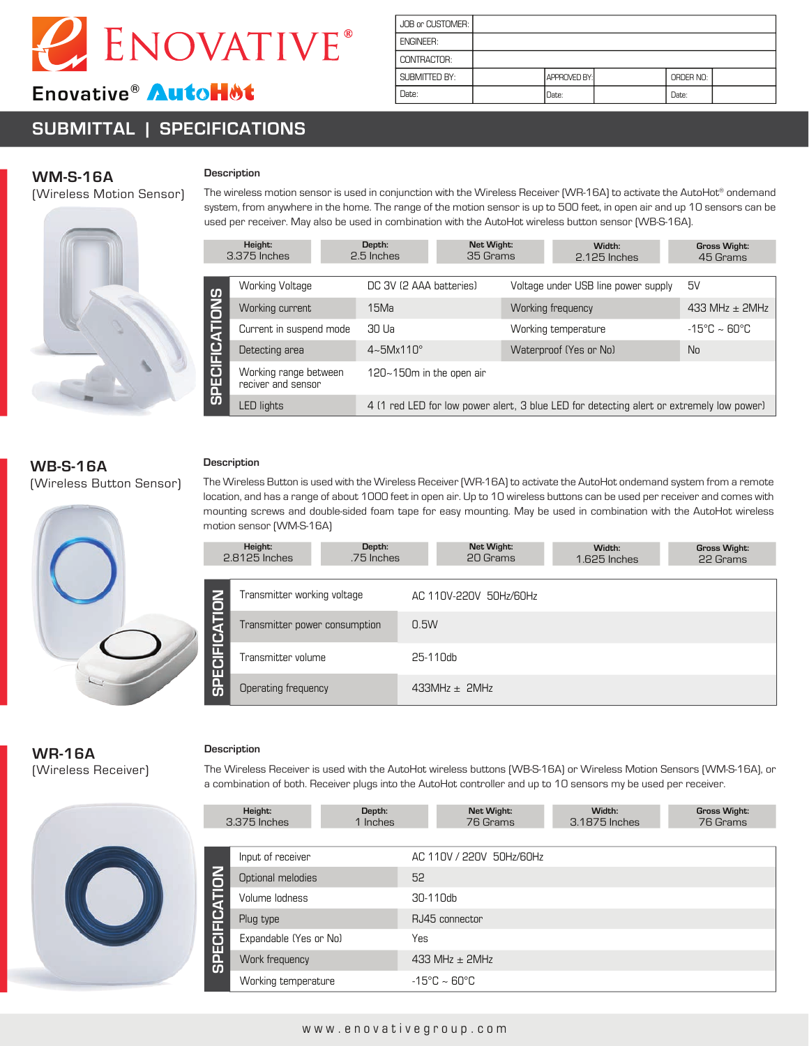

# Enovative<sup>®</sup> AutoHMt

# **SUBMITTAL | SPECIFICATIONS**

| JOB or CUSTOMER: |              |           |  |
|------------------|--------------|-----------|--|
| <b>ENGINEER:</b> |              |           |  |
| CONTRACTOR:      |              |           |  |
| SUBMITTED BY:    | APPROVED BY: | ORDER NO: |  |
| Date:            | Date:        | Date:     |  |

## **WM-S-16A**

(Wireless Motion Sensor)



# **Description**

The wireless motion sensor is used in conjunction with the Wireless Receiver (WR-16A) to activate the AutoHot® ondemand system, from anywhere in the home. The range of the motion sensor is up to 500 feet, in open air and up 10 sensors can be used per receiver. May also be used in combination with the AutoHot wireless button sensor (WB-S-16A).

|                       | Height:<br>3.375 Inches                     | Depth:<br>2.5 Inches      | Net Wight:<br>35 Grams |                        | Width:<br>2.125 Inches                                                                   | <b>Gross Wight:</b><br>45 Grams |
|-----------------------|---------------------------------------------|---------------------------|------------------------|------------------------|------------------------------------------------------------------------------------------|---------------------------------|
|                       | <b>Working Voltage</b>                      | DC 3V (2 AAA batteries)   |                        |                        | Voltage under USB line power supply                                                      | 5V                              |
|                       | Working current                             | 15Ma                      |                        | Working frequency      |                                                                                          | 433 MHz $\pm$ 2MHz              |
|                       | Current in suspend mode                     | 30 Ua                     |                        | Working temperature    |                                                                                          | $-15^{\circ}$ C ~ 60°C          |
|                       | Detecting area                              | $4 \sim 5$ Mx $110^\circ$ |                        | Waterproof (Yes or No) |                                                                                          | N <sub>0</sub>                  |
| <b>SPECIFICATIONS</b> | Working range between<br>reciver and sensor | 120~150m in the open air  |                        |                        |                                                                                          |                                 |
|                       | <b>LED lights</b>                           |                           |                        |                        | 4 (1 red LED for low power alert, 3 blue LED for detecting alert or extremely low power) |                                 |

## **WB-S-16A**  (Wireless Button Sensor)

### **Description**

The Wireless Button is used with the Wireless Receiver (WR-16A) to activate the AutoHot ondemand system from a remote location, and has a range of about 1000 feet in open air. Up to 10 wireless buttons can be used per receiver and comes with mounting screws and double-sided foam tape for easy mounting. May be used in combination with the AutoHot wireless motion sensor (WM-S-16A)

|                      | Height:<br>2.8125 Inches      | Depth:<br>.75 Inches |                   | Net Wight:<br>20 Grams | Width:<br>1.625 Inches |  | <b>Gross Wight:</b><br>22 Grams |
|----------------------|-------------------------------|----------------------|-------------------|------------------------|------------------------|--|---------------------------------|
|                      | Transmitter working voltage   |                      |                   | AC 110V-220V 50Hz/60Hz |                        |  |                                 |
| <b>SPECIFICATION</b> | Transmitter power consumption |                      | 0.5W              |                        |                        |  |                                 |
|                      | Transmitter volume            |                      | 25-110db          |                        |                        |  |                                 |
|                      | Operating frequency           |                      | $433MHz \pm 2MHz$ |                        |                        |  |                                 |

# **WR-16A** (Wireless Receiver)



#### **Description**

The Wireless Receiver is used with the AutoHot wireless buttons (WB-S-16A) or Wireless Motion Sensors (WM-S-16A), or a combination of both. Receiver plugs into the AutoHot controller and up to 10 sensors my be used per receiver.

**Gross Wight:**

| Height:<br>Depth:<br>3.375 Inches<br>1 Inches |                        |  | Net Wight:<br>76 Grams | Width:<br>3.1875 Inches           | <b>Gross Wight:</b><br>76 Grams |  |  |  |
|-----------------------------------------------|------------------------|--|------------------------|-----------------------------------|---------------------------------|--|--|--|
|                                               |                        |  |                        |                                   |                                 |  |  |  |
|                                               | Input of receiver      |  |                        | AC 110V / 220V 50Hz/60Hz          |                                 |  |  |  |
| <b>SPECIFICATION</b>                          | Optional melodies      |  | 52                     |                                   |                                 |  |  |  |
|                                               | Volume lodness         |  | 30-110db               |                                   |                                 |  |  |  |
|                                               | Plug type              |  | RJ45 connector         |                                   |                                 |  |  |  |
|                                               | Expandable (Yes or No) |  | Yes                    |                                   |                                 |  |  |  |
|                                               | Work frequency         |  | 433 MHz $\pm$ 2MHz     |                                   |                                 |  |  |  |
|                                               | Working temperature    |  |                        | $-15^{\circ}$ C ~ 60 $^{\circ}$ C |                                 |  |  |  |